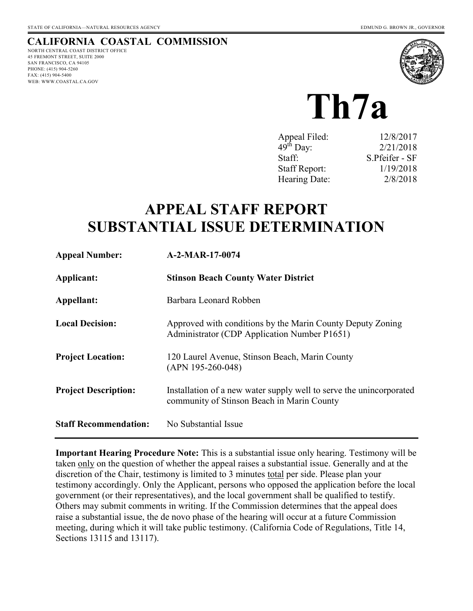# **CALIFORNIA COASTAL COMMISSION**

NORTH CENTRAL COAST DISTRICT OFFICE 45 FREMONT STREET, SUITE 2000 SAN FRANCISCO, CA 94105 PHONE: (415) 904-5260 FAX: (415) 904-5400 WEB: WWW.COASTAL.CA.GOV



**Th7a** 

| Appeal Filed:        | 12/8/2017      |
|----------------------|----------------|
| $49th$ Day:          | 2/21/2018      |
| Staff:               | S.Pfeifer - SF |
| <b>Staff Report:</b> | 1/19/2018      |
| Hearing Date:        | 2/8/2018       |

# **APPEAL STAFF REPORT SUBSTANTIAL ISSUE DETERMINATION**

| <b>Appeal Number:</b>        | A-2-MAR-17-0074                                                                                                   |
|------------------------------|-------------------------------------------------------------------------------------------------------------------|
| Applicant:                   | <b>Stinson Beach County Water District</b>                                                                        |
| Appellant:                   | Barbara Leonard Robben                                                                                            |
| <b>Local Decision:</b>       | Approved with conditions by the Marin County Deputy Zoning<br>Administrator (CDP Application Number P1651)        |
| <b>Project Location:</b>     | 120 Laurel Avenue, Stinson Beach, Marin County<br>$(APN 195-260-048)$                                             |
| <b>Project Description:</b>  | Installation of a new water supply well to serve the unincorporated<br>community of Stinson Beach in Marin County |
| <b>Staff Recommendation:</b> | No Substantial Issue                                                                                              |

**Important Hearing Procedure Note:** This is a substantial issue only hearing. Testimony will be taken only on the question of whether the appeal raises a substantial issue. Generally and at the discretion of the Chair, testimony is limited to 3 minutes total per side. Please plan your testimony accordingly. Only the Applicant, persons who opposed the application before the local government (or their representatives), and the local government shall be qualified to testify. Others may submit comments in writing. If the Commission determines that the appeal does raise a substantial issue, the de novo phase of the hearing will occur at a future Commission meeting, during which it will take public testimony. (California Code of Regulations, Title 14, Sections 13115 and 13117).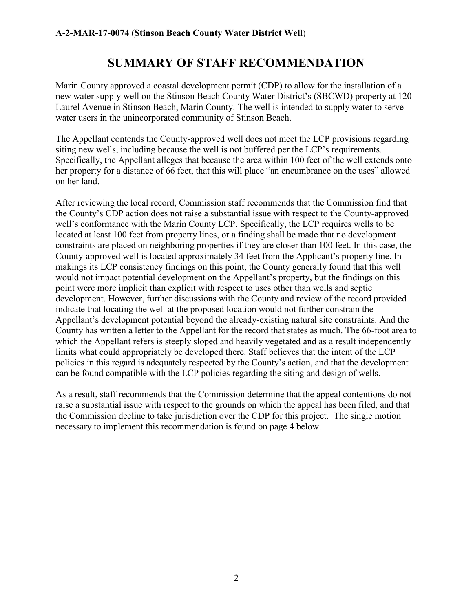# **SUMMARY OF STAFF RECOMMENDATION**

Marin County approved a coastal development permit (CDP) to allow for the installation of a new water supply well on the Stinson Beach County Water District's (SBCWD) property at 120 Laurel Avenue in Stinson Beach, Marin County. The well is intended to supply water to serve water users in the unincorporated community of Stinson Beach.

The Appellant contends the County-approved well does not meet the LCP provisions regarding siting new wells, including because the well is not buffered per the LCP's requirements. Specifically, the Appellant alleges that because the area within 100 feet of the well extends onto her property for a distance of 66 feet, that this will place "an encumbrance on the uses" allowed on her land.

After reviewing the local record, Commission staff recommends that the Commission find that the County's CDP action does not raise a substantial issue with respect to the County-approved well's conformance with the Marin County LCP. Specifically, the LCP requires wells to be located at least 100 feet from property lines, or a finding shall be made that no development constraints are placed on neighboring properties if they are closer than 100 feet. In this case, the County-approved well is located approximately 34 feet from the Applicant's property line. In makings its LCP consistency findings on this point, the County generally found that this well would not impact potential development on the Appellant's property, but the findings on this point were more implicit than explicit with respect to uses other than wells and septic development. However, further discussions with the County and review of the record provided indicate that locating the well at the proposed location would not further constrain the Appellant's development potential beyond the already-existing natural site constraints. And the County has written a letter to the Appellant for the record that states as much. The 66-foot area to which the Appellant refers is steeply sloped and heavily vegetated and as a result independently limits what could appropriately be developed there. Staff believes that the intent of the LCP policies in this regard is adequately respected by the County's action, and that the development can be found compatible with the LCP policies regarding the siting and design of wells.

As a result, staff recommends that the Commission determine that the appeal contentions do not raise a substantial issue with respect to the grounds on which the appeal has been filed, and that the Commission decline to take jurisdiction over the CDP for this project. The single motion necessary to implement this recommendation is found on page 4 below.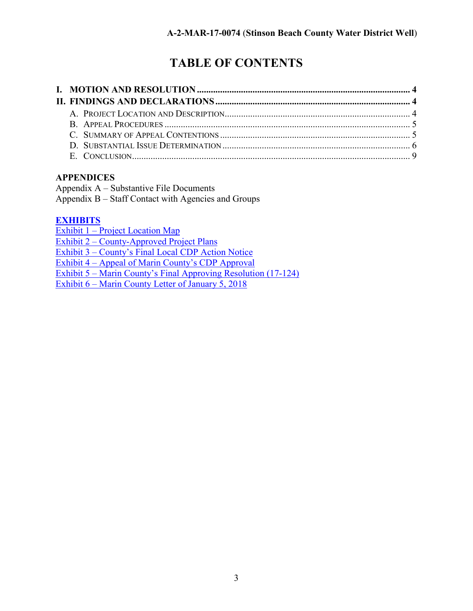# **TABLE OF CONTENTS**

## **APPENDICES**

Appendix A – Substantive File Documents Appendix B – Staff Contact with Agencies and Groups

## **[EXHIBITS](https://documents.coastal.ca.gov/reports/2018/2/th7a/th7a-2-2018-exhibits.pdf)**

[Exhibit 1 – Project Location Map](https://documents.coastal.ca.gov/reports/2018/2/th7a/th7a-2-2018-exhibits.pdf)  Exhibit 2 – [County-Approved Project Plans](https://documents.coastal.ca.gov/reports/2018/2/th7a/th7a-2-2018-exhibits.pdf)  [Exhibit 3 – County's Final Local CDP Action Notice](https://documents.coastal.ca.gov/reports/2018/2/th7a/th7a-2-2018-exhibits.pdf)  Exhibit 4 – [Appeal of Marin County's CDP Approval](https://documents.coastal.ca.gov/reports/2018/2/th7a/th7a-2-2018-exhibits.pdf)  Exhibit 5 – [Marin County's Final Approving Resolution \(17-124\)](https://documents.coastal.ca.gov/reports/2018/2/th7a/th7a-2-2018-exhibits.pdf)  [Exhibit 6 – Marin County Letter of January 5, 2018](https://documents.coastal.ca.gov/reports/2018/2/th7a/th7a-2-2018-exhibits.pdf)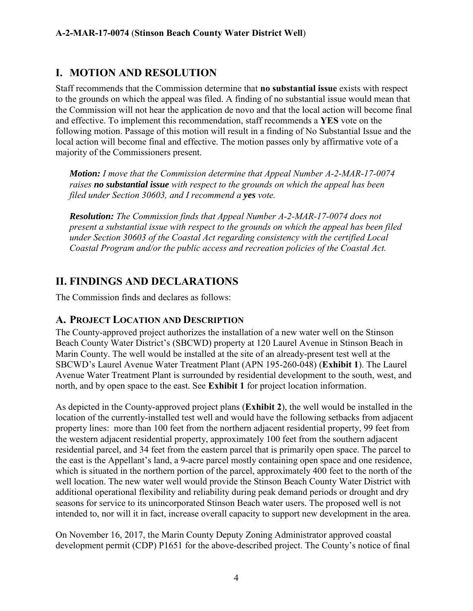# **I. MOTION AND RESOLUTION**

Staff recommends that the Commission determine that **no substantial issue** exists with respect to the grounds on which the appeal was filed. A finding of no substantial issue would mean that the Commission will not hear the application de novo and that the local action will become final and effective. To implement this recommendation, staff recommends a **YES** vote on the following motion. Passage of this motion will result in a finding of No Substantial Issue and the local action will become final and effective. The motion passes only by affirmative vote of a majority of the Commissioners present.

*Motion: I move that the Commission determine that Appeal Number A-2-MAR-17-0074 raises no substantial issue with respect to the grounds on which the appeal has been filed under Section 30603, and I recommend a yes vote.* 

*Resolution: The Commission finds that Appeal Number A-2-MAR-17-0074 does not present a substantial issue with respect to the grounds on which the appeal has been filed under Section 30603 of the Coastal Act regarding consistency with the certified Local Coastal Program and/or the public access and recreation policies of the Coastal Act.* 

# **II. FINDINGS AND DECLARATIONS**

The Commission finds and declares as follows:

## **A. PROJECT LOCATION AND DESCRIPTION**

The County-approved project authorizes the installation of a new water well on the Stinson Beach County Water District's (SBCWD) property at 120 Laurel Avenue in Stinson Beach in Marin County. The well would be installed at the site of an already-present test well at the SBCWD's Laurel Avenue Water Treatment Plant (APN 195-260-048) (**Exhibit 1**). The Laurel Avenue Water Treatment Plant is surrounded by residential development to the south, west, and north, and by open space to the east. See **Exhibit 1** for project location information.

As depicted in the County-approved project plans (**Exhibit 2**), the well would be installed in the location of the currently-installed test well and would have the following setbacks from adjacent property lines: more than 100 feet from the northern adjacent residential property, 99 feet from the western adjacent residential property, approximately 100 feet from the southern adjacent residential parcel, and 34 feet from the eastern parcel that is primarily open space. The parcel to the east is the Appellant's land, a 9-acre parcel mostly containing open space and one residence, which is situated in the northern portion of the parcel, approximately 400 feet to the north of the well location. The new water well would provide the Stinson Beach County Water District with additional operational flexibility and reliability during peak demand periods or drought and dry seasons for service to its unincorporated Stinson Beach water users. The proposed well is not intended to, nor will it in fact, increase overall capacity to support new development in the area.

On November 16, 2017, the Marin County Deputy Zoning Administrator approved coastal development permit (CDP) P1651 for the above-described project. The County's notice of final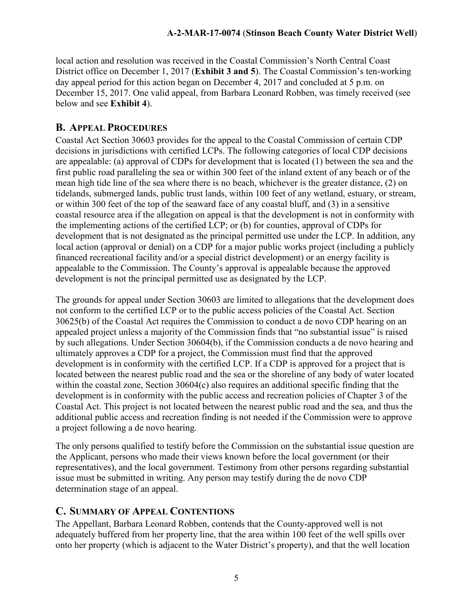local action and resolution was received in the Coastal Commission's North Central Coast District office on December 1, 2017 (**Exhibit 3 and 5**). The Coastal Commission's ten-working day appeal period for this action began on December 4, 2017 and concluded at 5 p.m. on December 15, 2017. One valid appeal, from Barbara Leonard Robben, was timely received (see below and see **Exhibit 4**).

# **B. APPEAL PROCEDURES**

Coastal Act Section 30603 provides for the appeal to the Coastal Commission of certain CDP decisions in jurisdictions with certified LCPs. The following categories of local CDP decisions are appealable: (a) approval of CDPs for development that is located (1) between the sea and the first public road paralleling the sea or within 300 feet of the inland extent of any beach or of the mean high tide line of the sea where there is no beach, whichever is the greater distance, (2) on tidelands, submerged lands, public trust lands, within 100 feet of any wetland, estuary, or stream, or within 300 feet of the top of the seaward face of any coastal bluff, and (3) in a sensitive coastal resource area if the allegation on appeal is that the development is not in conformity with the implementing actions of the certified LCP; or (b) for counties, approval of CDPs for development that is not designated as the principal permitted use under the LCP. In addition, any local action (approval or denial) on a CDP for a major public works project (including a publicly financed recreational facility and/or a special district development) or an energy facility is appealable to the Commission. The County's approval is appealable because the approved development is not the principal permitted use as designated by the LCP.

The grounds for appeal under Section 30603 are limited to allegations that the development does not conform to the certified LCP or to the public access policies of the Coastal Act. Section 30625(b) of the Coastal Act requires the Commission to conduct a de novo CDP hearing on an appealed project unless a majority of the Commission finds that "no substantial issue" is raised by such allegations. Under Section 30604(b), if the Commission conducts a de novo hearing and ultimately approves a CDP for a project, the Commission must find that the approved development is in conformity with the certified LCP. If a CDP is approved for a project that is located between the nearest public road and the sea or the shoreline of any body of water located within the coastal zone, Section 30604(c) also requires an additional specific finding that the development is in conformity with the public access and recreation policies of Chapter 3 of the Coastal Act. This project is not located between the nearest public road and the sea, and thus the additional public access and recreation finding is not needed if the Commission were to approve a project following a de novo hearing.

The only persons qualified to testify before the Commission on the substantial issue question are the Applicant, persons who made their views known before the local government (or their representatives), and the local government. Testimony from other persons regarding substantial issue must be submitted in writing. Any person may testify during the de novo CDP determination stage of an appeal.

# **C. SUMMARY OF APPEAL CONTENTIONS**

The Appellant, Barbara Leonard Robben, contends that the County-approved well is not adequately buffered from her property line, that the area within 100 feet of the well spills over onto her property (which is adjacent to the Water District's property), and that the well location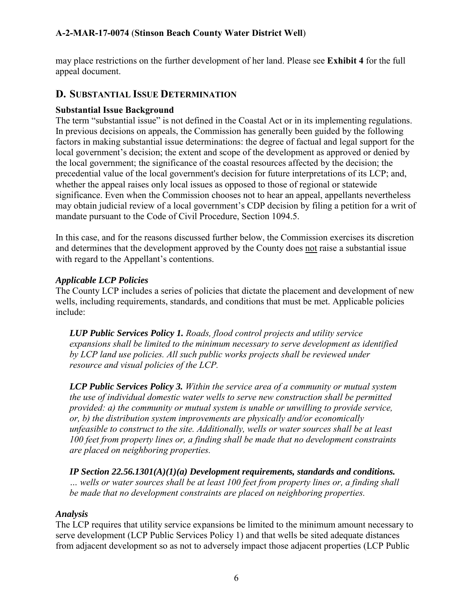may place restrictions on the further development of her land. Please see **Exhibit 4** for the full appeal document.

#### **D. SUBSTANTIAL ISSUE DETERMINATION**

#### **Substantial Issue Background**

The term "substantial issue" is not defined in the Coastal Act or in its implementing regulations. In previous decisions on appeals, the Commission has generally been guided by the following factors in making substantial issue determinations: the degree of factual and legal support for the local government's decision; the extent and scope of the development as approved or denied by the local government; the significance of the coastal resources affected by the decision; the precedential value of the local government's decision for future interpretations of its LCP; and, whether the appeal raises only local issues as opposed to those of regional or statewide significance. Even when the Commission chooses not to hear an appeal, appellants nevertheless may obtain judicial review of a local government's CDP decision by filing a petition for a writ of mandate pursuant to the Code of Civil Procedure, Section 1094.5.

In this case, and for the reasons discussed further below, the Commission exercises its discretion and determines that the development approved by the County does not raise a substantial issue with regard to the Appellant's contentions.

#### *Applicable LCP Policies*

The County LCP includes a series of policies that dictate the placement and development of new wells, including requirements, standards, and conditions that must be met. Applicable policies include:

*LUP Public Services Policy 1. Roads, flood control projects and utility service expansions shall be limited to the minimum necessary to serve development as identified by LCP land use policies. All such public works projects shall be reviewed under resource and visual policies of the LCP.* 

*LCP Public Services Policy 3. Within the service area of a community or mutual system the use of individual domestic water wells to serve new construction shall be permitted provided: a) the community or mutual system is unable or unwilling to provide service, or, b) the distribution system improvements are physically and/or economically unfeasible to construct to the site. Additionally, wells or water sources shall be at least 100 feet from property lines or, a finding shall be made that no development constraints are placed on neighboring properties.* 

*IP Section 22.56.1301(A)(1)(a) Development requirements, standards and conditions. … wells or water sources shall be at least 100 feet from property lines or, a finding shall be made that no development constraints are placed on neighboring properties.*

#### *Analysis*

The LCP requires that utility service expansions be limited to the minimum amount necessary to serve development (LCP Public Services Policy 1) and that wells be sited adequate distances from adjacent development so as not to adversely impact those adjacent properties (LCP Public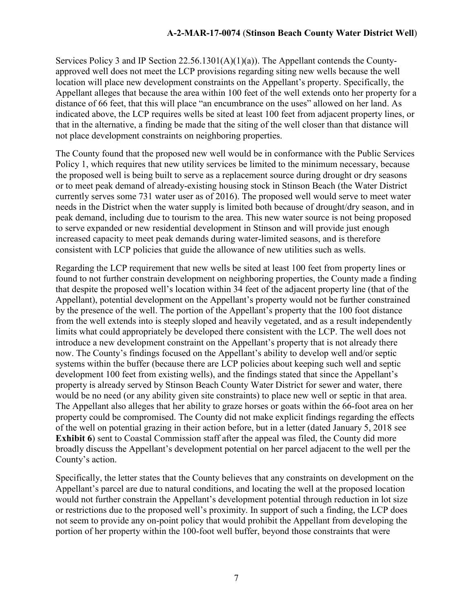Services Policy 3 and IP Section 22.56.1301(A)(1)(a)). The Appellant contends the Countyapproved well does not meet the LCP provisions regarding siting new wells because the well location will place new development constraints on the Appellant's property. Specifically, the Appellant alleges that because the area within 100 feet of the well extends onto her property for a distance of 66 feet, that this will place "an encumbrance on the uses" allowed on her land. As indicated above, the LCP requires wells be sited at least 100 feet from adjacent property lines, or that in the alternative, a finding be made that the siting of the well closer than that distance will not place development constraints on neighboring properties.

The County found that the proposed new well would be in conformance with the Public Services Policy 1, which requires that new utility services be limited to the minimum necessary, because the proposed well is being built to serve as a replacement source during drought or dry seasons or to meet peak demand of already-existing housing stock in Stinson Beach (the Water District currently serves some 731 water user as of 2016). The proposed well would serve to meet water needs in the District when the water supply is limited both because of drought/dry season, and in peak demand, including due to tourism to the area. This new water source is not being proposed to serve expanded or new residential development in Stinson and will provide just enough increased capacity to meet peak demands during water-limited seasons, and is therefore consistent with LCP policies that guide the allowance of new utilities such as wells.

Regarding the LCP requirement that new wells be sited at least 100 feet from property lines or found to not further constrain development on neighboring properties, the County made a finding that despite the proposed well's location within 34 feet of the adjacent property line (that of the Appellant), potential development on the Appellant's property would not be further constrained by the presence of the well. The portion of the Appellant's property that the 100 foot distance from the well extends into is steeply sloped and heavily vegetated, and as a result independently limits what could appropriately be developed there consistent with the LCP. The well does not introduce a new development constraint on the Appellant's property that is not already there now. The County's findings focused on the Appellant's ability to develop well and/or septic systems within the buffer (because there are LCP policies about keeping such well and septic development 100 feet from existing wells), and the findings stated that since the Appellant's property is already served by Stinson Beach County Water District for sewer and water, there would be no need (or any ability given site constraints) to place new well or septic in that area. The Appellant also alleges that her ability to graze horses or goats within the 66-foot area on her property could be compromised. The County did not make explicit findings regarding the effects of the well on potential grazing in their action before, but in a letter (dated January 5, 2018 see **Exhibit 6**) sent to Coastal Commission staff after the appeal was filed, the County did more broadly discuss the Appellant's development potential on her parcel adjacent to the well per the County's action.

Specifically, the letter states that the County believes that any constraints on development on the Appellant's parcel are due to natural conditions, and locating the well at the proposed location would not further constrain the Appellant's development potential through reduction in lot size or restrictions due to the proposed well's proximity. In support of such a finding, the LCP does not seem to provide any on-point policy that would prohibit the Appellant from developing the portion of her property within the 100-foot well buffer, beyond those constraints that were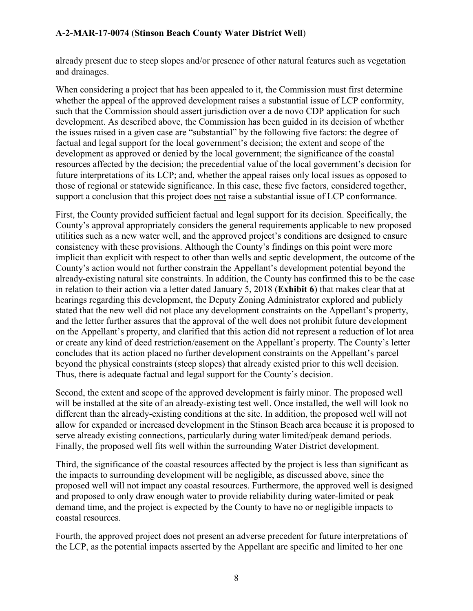already present due to steep slopes and/or presence of other natural features such as vegetation and drainages.

When considering a project that has been appealed to it, the Commission must first determine whether the appeal of the approved development raises a substantial issue of LCP conformity, such that the Commission should assert jurisdiction over a de novo CDP application for such development. As described above, the Commission has been guided in its decision of whether the issues raised in a given case are "substantial" by the following five factors: the degree of factual and legal support for the local government's decision; the extent and scope of the development as approved or denied by the local government; the significance of the coastal resources affected by the decision; the precedential value of the local government's decision for future interpretations of its LCP; and, whether the appeal raises only local issues as opposed to those of regional or statewide significance. In this case, these five factors, considered together, support a conclusion that this project does not raise a substantial issue of LCP conformance.

First, the County provided sufficient factual and legal support for its decision. Specifically, the County's approval appropriately considers the general requirements applicable to new proposed utilities such as a new water well, and the approved project's conditions are designed to ensure consistency with these provisions. Although the County's findings on this point were more implicit than explicit with respect to other than wells and septic development, the outcome of the County's action would not further constrain the Appellant's development potential beyond the already-existing natural site constraints. In addition, the County has confirmed this to be the case in relation to their action via a letter dated January 5, 2018 (**Exhibit 6**) that makes clear that at hearings regarding this development, the Deputy Zoning Administrator explored and publicly stated that the new well did not place any development constraints on the Appellant's property, and the letter further assures that the approval of the well does not prohibit future development on the Appellant's property, and clarified that this action did not represent a reduction of lot area or create any kind of deed restriction/easement on the Appellant's property. The County's letter concludes that its action placed no further development constraints on the Appellant's parcel beyond the physical constraints (steep slopes) that already existed prior to this well decision. Thus, there is adequate factual and legal support for the County's decision.

Second, the extent and scope of the approved development is fairly minor. The proposed well will be installed at the site of an already-existing test well. Once installed, the well will look no different than the already-existing conditions at the site. In addition, the proposed well will not allow for expanded or increased development in the Stinson Beach area because it is proposed to serve already existing connections, particularly during water limited/peak demand periods. Finally, the proposed well fits well within the surrounding Water District development.

Third, the significance of the coastal resources affected by the project is less than significant as the impacts to surrounding development will be negligible, as discussed above, since the proposed well will not impact any coastal resources. Furthermore, the approved well is designed and proposed to only draw enough water to provide reliability during water-limited or peak demand time, and the project is expected by the County to have no or negligible impacts to coastal resources.

Fourth, the approved project does not present an adverse precedent for future interpretations of the LCP, as the potential impacts asserted by the Appellant are specific and limited to her one